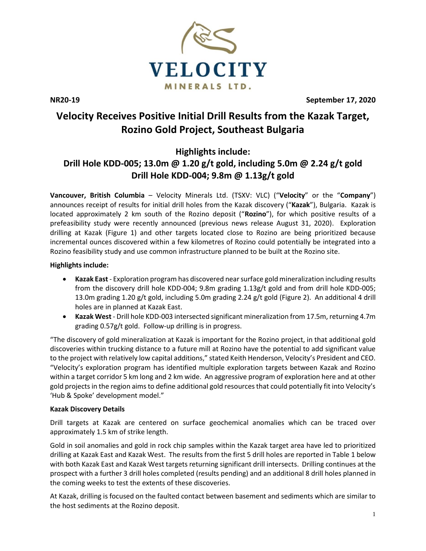

**NR20-19 September 17, 2020**

# **Velocity Receives Positive Initial Drill Results from the Kazak Target, Rozino Gold Project, Southeast Bulgaria**

**Highlights include:**

# **Drill Hole KDD-005; 13.0m @ 1.20 g/t gold, including 5.0m @ 2.24 g/t gold Drill Hole KDD-004; 9.8m @ 1.13g/t gold**

**Vancouver, British Columbia** – Velocity Minerals Ltd. (TSXV: VLC) ("**Velocity**" or the "**Company**") announces receipt of results for initial drill holes from the Kazak discovery ("**Kazak**"), Bulgaria. Kazak is located approximately 2 km south of the Rozino deposit ("**Rozino**"), for which positive results of a prefeasibility study were recently announced (previous news release August 31, 2020). Exploration drilling at Kazak (Figure 1) and other targets located close to Rozino are being prioritized because incremental ounces discovered within a few kilometres of Rozino could potentially be integrated into a Rozino feasibility study and use common infrastructure planned to be built at the Rozino site.

## **Highlights include:**

- **Kazak East** Exploration program has discovered near surface gold mineralization including results from the discovery drill hole KDD-004; 9.8m grading 1.13g/t gold and from drill hole KDD-005; 13.0m grading 1.20 g/t gold, including 5.0m grading 2.24 g/t gold (Figure 2). An additional 4 drill holes are in planned at Kazak East.
- **Kazak West** Drill hole KDD-003 intersected significant mineralization from 17.5m, returning 4.7m grading 0.57g/t gold. Follow-up drilling is in progress.

"The discovery of gold mineralization at Kazak is important for the Rozino project, in that additional gold discoveries within trucking distance to a future mill at Rozino have the potential to add significant value to the project with relatively low capital additions," stated Keith Henderson, Velocity's President and CEO. "Velocity's exploration program has identified multiple exploration targets between Kazak and Rozino within a target corridor 5 km long and 2 km wide. An aggressive program of exploration here and at other gold projects in the region aims to define additional gold resources that could potentially fit into Velocity's 'Hub & Spoke' development model."

## **Kazak Discovery Details**

Drill targets at Kazak are centered on surface geochemical anomalies which can be traced over approximately 1.5 km of strike length.

Gold in soil anomalies and gold in rock chip samples within the Kazak target area have led to prioritized drilling at Kazak East and Kazak West. The results from the first 5 drill holes are reported in Table 1 below with both Kazak East and Kazak West targets returning significant drill intersects. Drilling continues at the prospect with a further 3 drill holes completed (results pending) and an additional 8 drill holes planned in the coming weeks to test the extents of these discoveries.

At Kazak, drilling is focused on the faulted contact between basement and sediments which are similar to the host sediments at the Rozino deposit.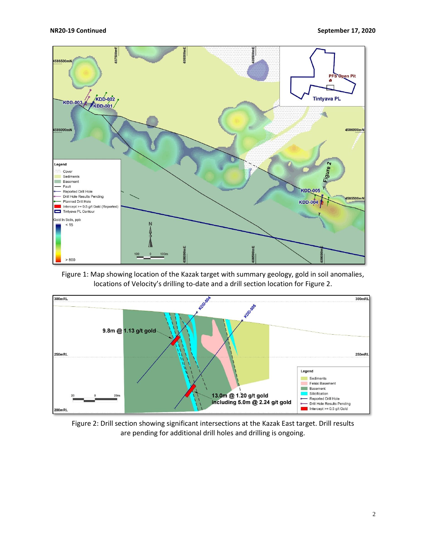

Figure 1: Map showing location of the Kazak target with summary geology, gold in soil anomalies, locations of Velocity's drilling to-date and a drill section location for Figure 2.



Figure 2: Drill section showing significant intersections at the Kazak East target. Drill results are pending for additional drill holes and drilling is ongoing.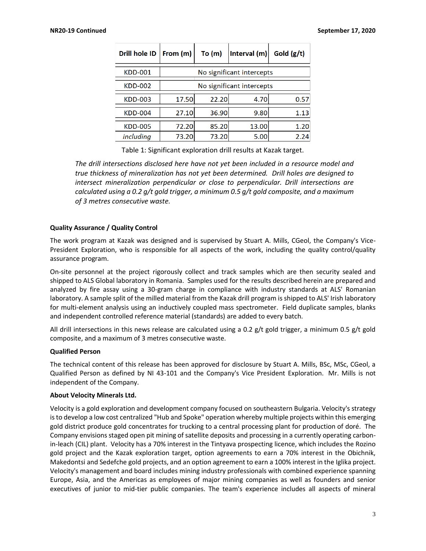| Drill hole ID  | From (m)                  | To $(m)$ | Interval $(m)$ | Gold $(g/t)$ |
|----------------|---------------------------|----------|----------------|--------------|
| <b>KDD-001</b> | No significant intercepts |          |                |              |
| <b>KDD-002</b> | No significant intercepts |          |                |              |
| <b>KDD-003</b> | 17.50                     | 22.20    | 4.70           | 0.57         |
| <b>KDD-004</b> | 27.10                     | 36.90    | 9.80           | 1.13         |
| <b>KDD-005</b> | 72.20                     | 85.20    | 13.00          | 1.20         |
| including      | 73.20                     | 73.20    | 5.00           | 2.24         |

Table 1: Significant exploration drill results at Kazak target.

*The drill intersections disclosed here have not yet been included in a resource model and true thickness of mineralization has not yet been determined. Drill holes are designed to intersect mineralization perpendicular or close to perpendicular. Drill intersections are calculated using a 0.2 g/t gold trigger, a minimum 0.5 g/t gold composite, and a maximum of 3 metres consecutive waste.*

### **Quality Assurance / Quality Control**

The work program at Kazak was designed and is supervised by Stuart A. Mills, CGeol, the Company's Vice-President Exploration, who is responsible for all aspects of the work, including the quality control/quality assurance program.

On-site personnel at the project rigorously collect and track samples which are then security sealed and shipped to ALS Global laboratory in Romania. Samples used for the results described herein are prepared and analyzed by fire assay using a 30-gram charge in compliance with industry standards at ALS' Romanian laboratory. A sample split of the milled material from the Kazak drill program is shipped to ALS' Irish laboratory for multi-element analysis using an inductively coupled mass spectrometer. Field duplicate samples, blanks and independent controlled reference material (standards) are added to every batch.

All drill intersections in this news release are calculated using a 0.2  $g/t$  gold trigger, a minimum 0.5  $g/t$  gold composite, and a maximum of 3 metres consecutive waste.

#### **Qualified Person**

The technical content of this release has been approved for disclosure by Stuart A. Mills, BSc, MSc, CGeol, a Qualified Person as defined by NI 43-101 and the Company's Vice President Exploration. Mr. Mills is not independent of the Company.

#### **About Velocity Minerals Ltd.**

Velocity is a gold exploration and development company focused on southeastern Bulgaria. Velocity's strategy is to develop a low cost centralized "Hub and Spoke" operation whereby multiple projects within this emerging gold district produce gold concentrates for trucking to a central processing plant for production of doré. The Company envisions staged open pit mining of satellite deposits and processing in a currently operating carbonin-leach (CIL) plant. Velocity has a 70% interest in the Tintyava prospecting licence, which includes the Rozino gold project and the Kazak exploration target, option agreements to earn a 70% interest in the Obichnik, Makedontsi and Sedefche gold projects, and an option agreement to earn a 100% interest in the Iglika project. Velocity's management and board includes mining industry professionals with combined experience spanning Europe, Asia, and the Americas as employees of major mining companies as well as founders and senior executives of junior to mid-tier public companies. The team's experience includes all aspects of mineral